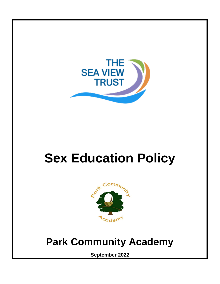

# **Sex Education Policy**



# **Park Community Academy**

**September 2022**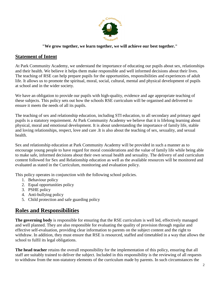

#### **"We grow together, we learn together, we will achieve our best together."**

#### **Statement of Intent**

At Park Community Academy, we understand the importance of educating our pupils about sex, relationships and their health. We believe it helps them make responsible and well informed decisions about their lives. The teaching of RSE can help prepare pupils for the opportunities, responsibilities and experiences of adult life. It allows us to promote the spiritual, moral, social, cultural, mental and physical development of pupils at school and in the wider society.

We have an obligation to provide our pupils with high-quality, evidence and age appropriate teaching of these subjects. This policy sets out how the schools RSE curriculum will be organised and delivered to ensure it meets the needs of all its pupils.

The teaching of sex and relationship education, including STI education, to all secondary and primary aged pupils is a statutory requirement. At Park Community Academy we believe that it is lifelong learning about physical, moral and emotional development. It is about understanding the importance of family life, stable and loving relationships, respect, love and care .It is also about the teaching of sex, sexuality, and sexual health.

Sex and relationship education at Park Community Academy will be provided in such a manner as to encourage young people to have regard for moral considerations and the value of family life while being able to make safe, informed decisions about their own sexual health and sexuality. The delivery of and curriculum content followed for Sex and Relationship education as well as the available resources will be monitored and evaluated as stated in the Curriculum, monitoring and evaluation policy.

This policy operates in conjunction with the following school policies.

- 1. Behaviour policy
- 2. Equal opportunities policy
- 3. PSHE policy
- 4. Anti-bullying policy
- 5. Child protection and safe guarding policy

# **Roles and Responsibilities**

**The governing body** is responsible for ensuring that the RSE curriculum is well led, effectively managed and well planned. They are also responsible for evaluating the quality of provision through regular and effective self-evaluation, providing clear information to parents on the subject content and the right to withdraw. In addition, they must ensure that RSE is resourced, staffed and timetabled in a way that allows the school to fulfil its legal obligations.

**The head teacher** retains the overall responsibility for the implementation of this policy, ensuring that all staff are suitably trained to deliver the subject. Included in this responsibility is the reviewing of all requests to withdraw from the non-statutory elements of the curriculum made by parents. In such circumstances the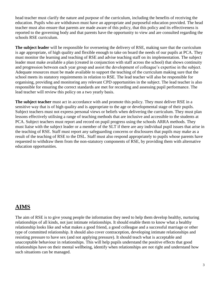head teacher must clarify the nature and purpose of the curriculum, including the benefits of receiving the education. Pupils who are withdrawn must have an appropriate and purposeful education provided. The head teacher must also ensure that parents are made aware of this policy, that this policy and its effectiveness is reported to the governing body and that parents have the opportunity to view and are consulted regarding the schools RSE curriculum.

**The subject leader** will be responsible for overseeing the delivery of RSE, making sure that the curriculum is age appropriate, of high quality and flexible enough to take on board the needs of our pupils at PCA. They must monitor the learning and teaching of RSE and advise teaching staff on its implementation. The subject leader must make available a plan (created in conjunction with staff across the school) that shows continuity and progression between each year group and assist the development of colleague's expertise in the subject. Adequate resources must be made available to support the teaching of the curriculum making sure that the school meets its statutory requirements in relation to RSE. The lead teacher will also be responsible for organising, providing and monitoring any relevant CPD opportunities in the subject. The lead teacher is also responsible for ensuring the correct standards are met for recording and assessing pupil performance. The lead teacher will review this policy on a two yearly basis.

**The subject teacher** must act in accordance with and promote this policy. They must deliver RSE in a sensitive way that is of high quality and is appropriate to the age or developmental stage of their pupils. Subject teachers must not express personal views or beliefs when delivering the curriculum. They must plan lessons effectively utilising a range of teaching methods that are inclusive and accessible to the students at PCA. Subject teachers must report and record on pupil progress using the schools ARRA methods. They must liaise with the subject leader or a member of the SLT if there are any individual pupil issues that arise in the teaching of RSE. Staff must report any safeguarding concerns or disclosures that pupils may make as a result of the teaching of RSE to the DSL. Staff must also respond appropriately to pupils whose parents have requested to withdraw them from the non-statutory components of RSE, by providing them with alternative education opportunities.

# **AIMS**

The aim of RSE is to give young people the information they need to help them develop healthy, nurturing relationships of all kinds, not just intimate relationships. It should enable them to know what a healthy relationship looks like and what makes a good friend, a good colleague and a successful marriage or other type of committed relationship. It should also cover contraception, developing intimate relationships and resisting pressure to have sex (and not applying pressure). It should teach what is acceptable and unacceptable behaviour in relationships. This will help pupils understand the positive effects that good relationships have on their mental wellbeing, identify when relationships are not right and understand how such situations can be managed.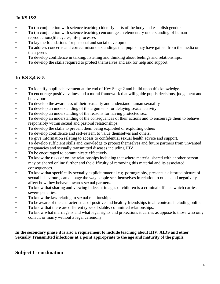#### **In KS 1&2**

- To (in conjunction with science teaching) identify parts of the body and establish gender
- To (in conjunction with science teaching) encourage an elementary understanding of human reproduction.(life cycles, life processes
- To lay the foundations for personal and social development
- To address concerns and correct misunderstandings that pupils may have gained from the media or their peers.
- To develop confidence in talking, listening and thinking about feelings and relationships.
- To develop the skills required to protect themselves and ask for help and support.

# **In KS 3,4 & 5**

- To identify pupil achievement at the end of Key Stage 2 and build upon this knowledge.
- To encourage positive values and a moral framework that will guide pupils decisions, judgement and behaviour.
- To develop the awareness of their sexuality and understand human sexuality
- To develop an understanding of the arguments for delaying sexual activity.
- To develop an understanding of the reasons for having protected sex.
- To develop an understanding of the consequences of their actions and to encourage them to behave responsibly within sexual and pastoral relationships.
- To develop the skills to prevent them being exploited or exploiting others
- To develop confidence and self-esteem to value themselves and others.
- To give information relating to access to confidential sexual health advice and support.
- To develop sufficient skills and knowledge to protect themselves and future partners from unwanted pregnancies and sexually transmitted diseases including HIV
- To be encouraged to communicate effectively.
- To know the risks of online relationships including that where material shared with another person may be shared online further and the difficulty of removing this material and its associated consequences.
- To know that specifically sexually explicit material e.g. pornography, presents a distorted picture of sexual behaviours, can damage the way people see themselves in relation to others and negatively affect how they behave towards sexual partners.
- To know that sharing and viewing indecent images of children is a criminal offence which carries severe penalties.
- To know the law relating to sexual relationships
- To be aware of the characteristics of positive and healthy friendships in all contexts including online.
- To know that there are different types of stable, committed relationships.
- To know what marriage is and what legal rights and protections it carries as appose to those who only cohabit or marry without a legal ceremony

**In the secondary phase it is also a requirement to include teaching about HIV, AIDS and other Sexually Transmitted infections at a point appropriate to the age and maturity of the pupils.**

# **Subject Co-ordination**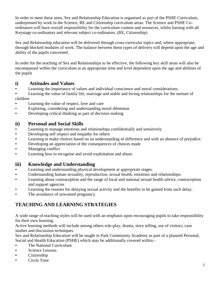In order to meet these aims, Sex and Relationship Education is organised as part of the PSHE Curriculum, underpinned by work in the Science, RE and Citizenship curriculum areas. The Science and PSHE Coordinators will have overall responsibility for the curriculum content and resources, whilst liaising with all Keystage co-ordinators and relevant subject co-ordinators. (RE, Citizenship)

Sex and Relationship education will be delivered through cross-curricular topics and, where appropriate, through blocked modules of work. The balance between these types of delivery will depend upon the age and ability of the pupils concerned.

In order for the teaching of Sex and Relationships to be effective, the following key skill areas will also be encompassed within the curriculum at an appropriate time and level dependent upon the age and abilities of the pupils

### **i) Attitudes and Values**

- Learning the importance of values and individual conscience and moral considerations.
- Learning the value of family life, marriage and stable and loving relationships for the nurture of children
- Learning the value of respect, love and care
- Exploring, considering and understanding moral dilemmas
- Developing critical thinking as part of decision making

### **ii) Personal and Social Skills**

- Learning to manage emotions and relationships confidentially and sensitively
- **•** Developing self respect and empathy for others
- Learning to make choices based on an understanding of difference and with an absence of prejudice.
- Developing an appreciation of the consequences of choices made
- Managing conflict
- **•** Learning how to recognise and avoid exploitation and abuse.

# **iii) Knowledge and Understanding**

- Learning and understanding physical development at appropriate stages.
- Understanding human sexuality, reproduction, sexual health, emotions and relationships.
- Learning about contraception and the range of local and national sexual health advice, contraception and support agencies
- Learning the reasons for delaying sexual activity and the benefits to be gained from such delay.
- The avoidance of unwanted pregnancy.

# **TEACHING AND LEARNING STRATEGIES**

A wide range of teaching styles will be used with an emphasis upon encouraging pupils to take responsibility for their own learning.

Active learning methods will include among others role-play, drama, story telling, use of visitors, case studies and discussion techniques.

Sex and Relationship Education will be taught in Park Community Academy as part of a planned Personal, Social and Health Education (PSHE) which may be additionally covered within:-

- **•** The National Curriculum
- **Science Lessons**
- Citizenship
- Circle Time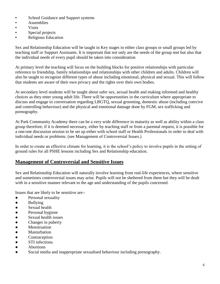- School Guidance and Support systems
- Assemblies
- Visits
- Special projects
- **Religious Education**

Sex and Relationship Education will be taught in Key stages in either class groups or small groups led by teaching staff or Support Assistants. It is important that not only are the needs of the group met but also that the individual needs of every pupil should be taken into consideration

At primary level the teaching will focus on the building blocks for positive relationships with particular reference to friendship, family relationships and relationships with other children and adults. Children will also be taught to recognise different types of abuse including emotional, physical and sexual. This will follow that students are aware of their own privacy and the rights over their own bodies.

At secondary level students will be taught about safer sex, sexual health and making informed and healthy choices as they enter young adult life. There will be opportunities in the curriculum where appropriate to discuss and engage in conversation regarding LBGTQ, sexual grooming, domestic abuse (including coercive and controlling behaviour) and the physical and emotional damage done by FGM, sex trafficking and pornography.

At Park Community Academy there can be a very wide difference in maturity as well as ability within a class group therefore, if it is deemed necessary, either by teaching staff or from a parental request, it is possible for a one:one discussion session to be set up either with school staff or Health Professionals in order to deal with individual needs or problems. (see Management of Controversial Issues.)

In order to create an effective climate for learning, it is the school's policy to involve pupils in the setting of ground rules for all PSHE lessons including Sex and Relationship education.

#### **Management of Controversial and Sensitive Issues**

Sex and Relationship Education will naturally involve learning from real-life experiences, where sensitive and sometimes controversial issues may arise. Pupils will not be sheltered from them but they will be dealt with in a sensitive manner relevant to the age and understanding of the pupils concerned.

Issues that are likely to be sensitive are:-

- Personal sexuality
- Bullying
- Sexual health
- Personal hygiene
- Sexual health issues
- Changes in puberty
- Menstruation
- Masturbation
- Contraception
- STI infections
- Abortions
- Social media and inappropriate sexualised behaviour including pornography.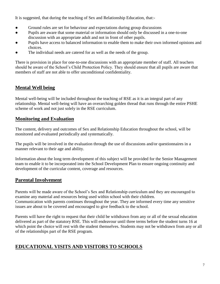It is suggested, that during the teaching of Sex and Relationship Education, that:-

- Ground rules are set for behaviour and expectations during group discussions
- Pupils are aware that some material or information should only be discussed in a one-to-one discussion with an appropriate adult and not in front of other pupils.
- Pupils have access to balanced information to enable them to make their own informed opinions and choices.
- The individual needs are catered for as well as the needs of the group.

There is provision in place for one-to-one discussions with an appropriate member of staff. All teachers should be aware of the School's Child Protection Policy. They should ensure that all pupils are aware that members of staff are not able to offer unconditional confidentiality.

# **Mental Well being**

Mental well-being will be included throughout the teaching of RSE as it is an integral part of any relationship. Mental well-being will have an overarching golden thread that runs through the entire PSHE scheme of work and not just solely in the RSE curriculum.

# **Monitoring and Evaluation**

The content, delivery and outcomes of Sex and Relationship Education throughout the school, will be monitored and evaluated periodically and systematically.

The pupils will be involved in the evaluation through the use of discussions and/or questionnaires in a manner relevant to their age and ability.

Information about the long term development of this subject will be provided for the Senior Management team to enable it to be incorporated into the School Development Plan to ensure ongoing continuity and development of the curricular content, coverage and resources.

# **Parental Involvement**

Parents will be made aware of the School's Sex and Relationship curriculum and they are encouraged to examine any material and resources being used within school with their children. Communication with parents continues throughout the year. They are informed every time any sensitive issues are about to be covered and encouraged to give feedback to the school.

Parents will have the right to request that their child be withdrawn from any or all of the sexual education delivered as part of the statutory RSE. This will endeavour until three terms before the student turns 16 at which point the choice will rest with the student themselves. Students may not be withdrawn from any or all of the relationships part of the RSE program.

# **EDUCATIONAL VISITS AND VISITORS TO SCHOOLS**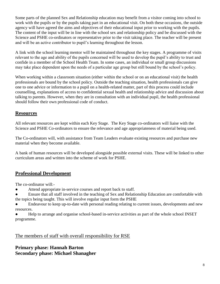Some parts of the planned Sex and Relationship education may benefit from a visitor coming into school to work with the pupils or by the pupils taking part in an educational visit. On both these occasions, the outside agency will have agreed the aims and objectives of their educational input prior to working with the pupils. The content of the input will be in line with the school sex and relationship policy and be discussed with the Science and PSHE co-ordinators or representative prior to the visit taking place. The teacher will be present and will be an active contributor to pupil's learning throughout the lesson.

A link with the school learning mentor will be maintained throughout the key stages. A programme of visits relevant to the age and ability of the pupils concerned will be used to develop the pupil's ability to trust and confide in a member of the School Health Team. In some cases, an individual or small group discussions may take place dependent upon the needs of a particular age group but still bound by the school's policy.

When working within a classroom situation (either within the school or on an educational visit) the health professionals are bound by the school policy. Outside the teaching situation, health professionals can give one to one advice or information to a pupil on a health-related matter, part of this process could include counselling, explanations of access to confidential sexual health and relationship advice and discussion about talking to parents. However, when they are in consultation with an individual pupil, the health professional should follow their own professional code of conduct.

# **Resources**

All relevant resources are kept within each Key Stage. The Key Stage co-ordinators will liaise with the Science and PSHE Co-ordinators to ensure the relevance and age appropriateness of material being used.

The Co-ordinators will, with assistance from Team Leaders evaluate existing resources and purchase new material when they become available.

A bank of human resources will be developed alongside possible external visits. These will be linked to other curriculum areas and written into the scheme of work for PSHE.

# **Professional Development**

The co-ordinator will:-

- Attend appropriate in-service courses and report back to staff.
- Ensure that all staff involved in the teaching of Sex and Relationship Education are comfortable with the topics being taught. This will involve regular input form the PSHE
- Endeavour to keep up-to-date with personal reading relating to current issues, developments and new resources.
- Help to arrange and organise school-based in-service activities as part of the whole school INSET programme.

#### The members of staff with overall responsibility for RSE

#### **Primary phase: Hannah Barton Secondary phase: Michael Shanagher**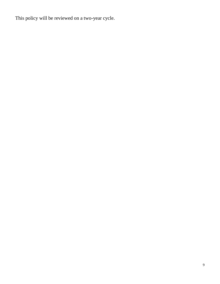This policy will be reviewed on a two-year cycle.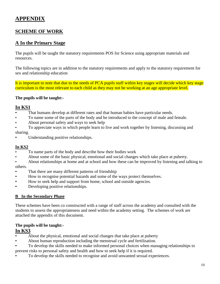# **APPENDIX**

# **SCHEME OF WORK**

#### **A In the Primary Stage**

The pupils will be taught the statutory requirements POS for Science using appropriate materials and resources.

The following topics are in addition to the statutory requirements and apply to the statutory requirement for sex and relationship education

It is important to note that due to the needs of PCA pupils staff within key stages will decide which key stage curriculum is the most relevant to each child as they may not be working at an age appropriate level.

#### **The pupils will be taught:-**

#### **In KS1**

- That humans develop at different rates and that human babies have particular needs.
- To name some of the parts of the body and be introduced to the concept of male and female.
- About personal safety and ways to seek help
- To appreciate ways in which people learn to live and work together by listening, discussing and sharing.
- Understanding positive relationships.

#### **In KS2**

- To name parts of the body and describe how their bodies work
- About some of the basic physical, emotional and social changes which take place at puberty.
- About relationships at home and at school and how these can be improved by listening and talking to others.
- That there are many different patterns of friendship
- How to recognise potential hazards and some of the ways protect themselves.
- How to seek help and support from home, school and outside agencies.
- Developing positive relationships.

#### **B In the Secondary Phase**

These schemes have been co constructed with a range of staff across the academy and consulted with the students to assess the appropriateness and need within the academy setting. The schemes of work are attached the appendix of this document.

#### **The pupils will be taught:-**

#### **In KS3**

- About the physical, emotional and social changes that take place at puberty
- About human reproduction including the menstrual cycle and fertilisation.
- To develop the skills needed to make informed personal choices when managing relationships to prevent risks to personal safety and health and how to seek help if it is required.
- To develop the skills needed to recognise and avoid unwanted sexual experiences.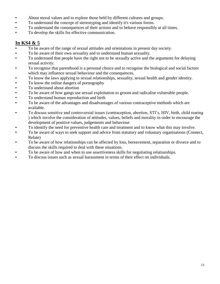- About moral values and to explore those held by different cultures and groups.
- To understand the concept of stereotyping and identify it's various forms.
- To understand the consequences of their actions and to behave responsibly at all times.
- To develop the skills for effective communication.

# **In KS4 & 5**

- To be aware of the range of sexual attitudes and orientations in present day society.
- To be aware of their own sexuality and to understand human sexuality.
- To understand that people have the right not to be sexually active and the arguments for delaying sexual activity.
- To recognise that parenthood is a personal choice and to recognise the biological and social factors which may influence sexual behaviour and the consequences.
- To know the laws applying to sexual relationships, sexuality, sexual health and gender identity.
- To know the online dangers of pornography
- To understand about abortion
- To be aware of how gangs use sexual exploitation to groom and radicalise vulnerable people.
- To understand human reproduction and birth
- To be aware of the advantages and disadvantages of various contraceptive methods which are available.
- To discuss sensitive and controversial issues (contraception, abortion, STI's, HIV, birth, child rearing ) which involve the consideration of attitudes, values, beliefs and morality in order to encourage the development of positive values, judgements and behaviour
- To identify the need for preventive health care and treatment and to know what this may involve.
- To be aware of ways to seek support and advice from statutory and voluntary organisations (Connect, Relate)
- To be aware of how relationships can be affected by loss, bereavement, separation or divorce and to discuss the skills required to deal with these situations.
- To be aware of how and when to use assertiveness skills for negotiating relationships.
- To discuss issues such as sexual harassment in terms of their effect on individuals.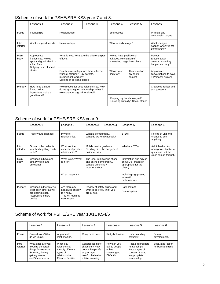#### lScheme of work for PSHE/SRE KS3 year 7 and 8.

|                   | Lessons 1                                                                                                             | Lessons 2                                                                                                                             | Lessons 3 | Lessons 4                                                                             | Lessons 5                             | Lessons 6                                                        |
|-------------------|-----------------------------------------------------------------------------------------------------------------------|---------------------------------------------------------------------------------------------------------------------------------------|-----------|---------------------------------------------------------------------------------------|---------------------------------------|------------------------------------------------------------------|
| Focus             | Friendships                                                                                                           | Relationships                                                                                                                         |           | Self respect                                                                          |                                       | Physical and<br>emotional changes.                               |
| Intro<br>/starter | What is a good friend?                                                                                                | Relationships                                                                                                                         |           | What is body image?                                                                   |                                       | What changes<br>happen when? What<br>do we know?                 |
| Main<br>body      | Appropriate<br>friendships. How to<br>spot and good friend or<br>a bad friend<br>Bullying - use of social<br>stories. | What is love. What are the different types<br>of love.                                                                                |           | How to have positive self<br>attitudes. Realisation of<br>photoshop magazine culture. |                                       | Periods.<br>Erections/wet<br>dreams. How they<br>happen and why? |
|                   |                                                                                                                       | Family relationships. Are there different<br>types of families? Gay parents,<br>multicultural families?<br>Looking at personal space. |           | Who is your<br>body for?                                                              | 'Hands out of<br>my pants'<br>hooklet | Appropriate<br>conversations to have<br>? Personal hygiene.      |
| Plenary           | How to be a good<br>friend. What<br>ingredients make a<br>qood friend?                                                | Role models for good relationships. How<br>do we spot a good relationship. What do<br>we want from a good relationship.               |           |                                                                                       |                                       | Chance to reflect and<br>ask questions.                          |
|                   |                                                                                                                       |                                                                                                                                       |           | 'Keeping my hands to myself'<br>'Touching curiosity' Social stories                   |                                       |                                                                  |

#### Scheme of work for PSHE/SRE KS3 year 9

|                   | Lessons 1                                                                                             | Lessons 2                                                                                 | Lessons 3                                                                                         | Lessons 4 | Lessons 5                                                                       | Lessons 6                                                                               |
|-------------------|-------------------------------------------------------------------------------------------------------|-------------------------------------------------------------------------------------------|---------------------------------------------------------------------------------------------------|-----------|---------------------------------------------------------------------------------|-----------------------------------------------------------------------------------------|
| Focus             | Puberty and changes                                                                                   | Physical<br>relationships.                                                                | What is pornography?<br>What do we know about it?                                                 |           | STD's                                                                           | Re cap of unit and<br>chance to ask<br>anything.                                        |
| Intro<br>/starter | Ground rules. What is<br>your body getting ready<br>to do?                                            | What are the<br>aspects of positive<br>relationships?                                     | Mobile device guidance.<br>Sending pics, the dangers of<br>online activity.                       |           | What are STD's                                                                  | Ask it basket. An<br>anonymous basket of<br>questions that the<br>class can go through. |
| Main<br>body      | Changes in boys and<br>girls.Physical and<br>emotional.                                               | What is sex? What<br>is it for?                                                           | The legal implications of sex<br>and online pornography.<br>What is grooming?<br>Internet safety. |           | Information and advice<br>on STD's (images if<br>appropriate for the<br>class.) |                                                                                         |
|                   |                                                                                                       | What happens?                                                                             |                                                                                                   |           | Including signposting<br>to health<br>professionals.                            |                                                                                         |
| Plenary           | Changes in the way we<br>treat each other as we<br>are getting older.<br>Respecting others<br>bodies. | Are there any<br>negatives of sex?<br>Is it risky?<br>This will lead into<br>next lesson. | Review of safety online and<br>what to do if you think you<br>are at risk.                        |           | Safe sex and<br>contraception.                                                  |                                                                                         |

# Scheme of work for PSHE/SRE year 10/11 KS4/5

|                   | Lessons 1                                                                                                                   | Lessons 2                                                                                            | Lessons 3                                                                                                    | Lessons 4                                                            | Lessons 5                                                                                               | Lessons 6                               |
|-------------------|-----------------------------------------------------------------------------------------------------------------------------|------------------------------------------------------------------------------------------------------|--------------------------------------------------------------------------------------------------------------|----------------------------------------------------------------------|---------------------------------------------------------------------------------------------------------|-----------------------------------------|
| Focus             | Ground rules/What<br>do we know?                                                                                            | Appropriate<br>relationships.                                                                        | Risky behaviour.                                                                                             | Risky behaviour.                                                     | Understanding<br>sexuality.                                                                             | Sexual<br>development.                  |
| Intro<br>/starter | What ages are you<br>aloud to do certain<br>things for example<br>Smoking, driving<br>getting married<br>etc.Differences in | What is a<br>relationship?<br>Identify different<br>types of<br>relationships.<br>Friends, families, | Generalised risky<br>situations? How<br>do you keep safe<br>at your age<br>now?helmet on<br>a bike, crossing | How can you<br>talk to people<br>online?<br>Messenger,<br>DM's Xbox. | Recap appropriate<br>relationships.<br>Recap ages of<br>consent. Recap<br>inappropriate<br>relationship | Separated lesson<br>for boys and girls. |